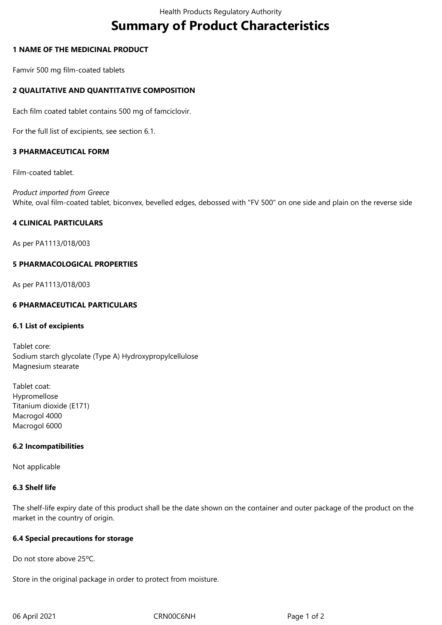# **Summary of Product Characteristics**

## **1 NAME OF THE MEDICINAL PRODUCT**

Famvir 500 mg film-coated tablets

## **2 QUALITATIVE AND QUANTITATIVE COMPOSITION**

Each film coated tablet contains 500 mg of famciclovir.

For the full list of excipients, see section 6.1.

#### **3 PHARMACEUTICAL FORM**

Film-coated tablet.

*Product imported from Greece* White, oval film-coated tablet, biconvex, bevelled edges, debossed with "FV 500" on one side and plain on the reverse side

#### **4 CLINICAL PARTICULARS**

As per PA1113/018/003

#### **5 PHARMACOLOGICAL PROPERTIES**

As per PA1113/018/003

## **6 PHARMACEUTICAL PARTICULARS**

#### **6.1 List of excipients**

Tablet core: Sodium starch glycolate (Type A) Hydroxypropylcellulose Magnesium stearate

Tablet coat: Hypromellose Titanium dioxide (E171) Macrogol 4000 Macrogol 6000

#### **6.2 Incompatibilities**

Not applicable

#### **6.3 Shelf life**

The shelf-life expiry date of this product shall be the date shown on the container and outer package of the product on the market in the country of origin.

#### **6.4 Special precautions for storage**

Do not store above 25ºC.

Store in the original package in order to protect from moisture.